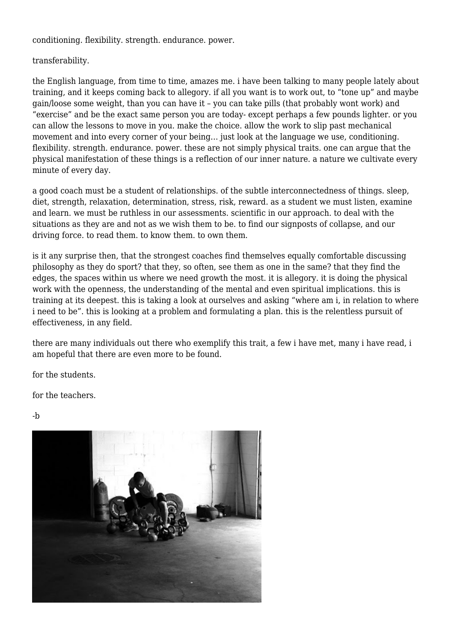conditioning. flexibility. strength. endurance. power.

transferability.

the English language, from time to time, amazes me. i have been talking to many people lately about training, and it keeps coming back to allegory. if all you want is to work out, to "tone up" and maybe gain/loose some weight, than you can have it – you can take pills (that probably wont work) and "exercise" and be the exact same person you are today- except perhaps a few pounds lighter. or you can allow the lessons to move in you. make the choice. allow the work to slip past mechanical movement and into every corner of your being… just look at the language we use, conditioning. flexibility. strength. endurance. power. these are not simply physical traits. one can argue that the physical manifestation of these things is a reflection of our inner nature. a nature we cultivate every minute of every day.

a good coach must be a student of relationships. of the subtle interconnectedness of things. sleep, diet, strength, relaxation, determination, stress, risk, reward. as a student we must listen, examine and learn. we must be ruthless in our assessments. scientific in our approach. to deal with the situations as they are and not as we wish them to be. to find our signposts of collapse, and our driving force. to read them. to know them. to own them.

is it any surprise then, that the strongest coaches find themselves equally comfortable discussing philosophy as they do sport? that they, so often, see them as one in the same? that they find the edges, the spaces within us where we need growth the most. it is allegory. it is doing the physical work with the openness, the understanding of the mental and even spiritual implications. this is training at its deepest. this is taking a look at ourselves and asking "where am i, in relation to where i need to be". this is looking at a problem and formulating a plan. this is the relentless pursuit of effectiveness, in any field.

there are many individuals out there who exemplify this trait, a few i have met, many i have read, i am hopeful that there are even more to be found.

for the students.

for the teachers.

-b